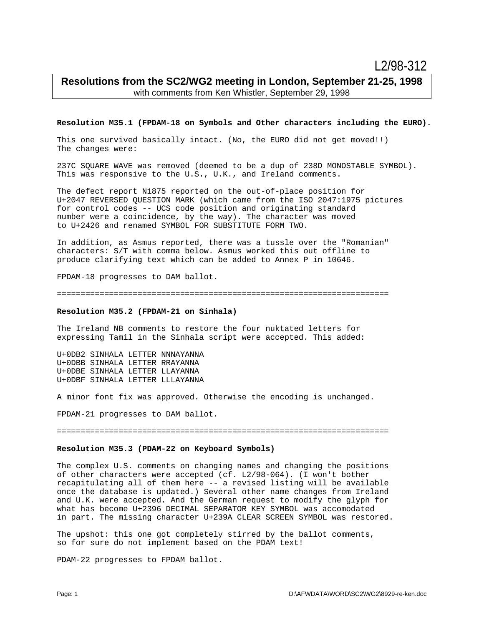# **Resolutions from the SC2/WG2 meeting in London, September 21-25, 1998** with comments from Ken Whistler, September 29, 1998

### **Resolution M35.1 (FPDAM-18 on Symbols and Other characters including the EURO).**

This one survived basically intact. (No, the EURO did not get moved!!) The changes were:

237C SQUARE WAVE was removed (deemed to be a dup of 238D MONOSTABLE SYMBOL). This was responsive to the U.S., U.K., and Ireland comments.

The defect report N1875 reported on the out-of-place position for U+2047 REVERSED QUESTION MARK (which came from the ISO 2047:1975 pictures for control codes -- UCS code position and originating standard number were a coincidence, by the way). The character was moved to U+2426 and renamed SYMBOL FOR SUBSTITUTE FORM TWO.

In addition, as Asmus reported, there was a tussle over the "Romanian" characters: S/T with comma below. Asmus worked this out offline to produce clarifying text which can be added to Annex P in 10646.

FPDAM-18 progresses to DAM ballot.

======================================================================

# **Resolution M35.2 (FPDAM-21 on Sinhala)**

The Ireland NB comments to restore the four nuktated letters for expressing Tamil in the Sinhala script were accepted. This added:

U+0DB2 SINHALA LETTER NNNAYANNA U+0DBB SINHALA LETTER RRAYANNA U+0DBE SINHALA LETTER LLAYANNA U+0DBF SINHALA LETTER LLLAYANNA

A minor font fix was approved. Otherwise the encoding is unchanged.

FPDAM-21 progresses to DAM ballot.

======================================================================

# **Resolution M35.3 (PDAM-22 on Keyboard Symbols)**

The complex U.S. comments on changing names and changing the positions of other characters were accepted (cf. L2/98-064). (I won't bother recapitulating all of them here -- a revised listing will be available once the database is updated.) Several other name changes from Ireland and U.K. were accepted. And the German request to modify the glyph for what has become U+2396 DECIMAL SEPARATOR KEY SYMBOL was accomodated in part. The missing character U+239A CLEAR SCREEN SYMBOL was restored.

The upshot: this one got completely stirred by the ballot comments, so for sure do not implement based on the PDAM text!

PDAM-22 progresses to FPDAM ballot.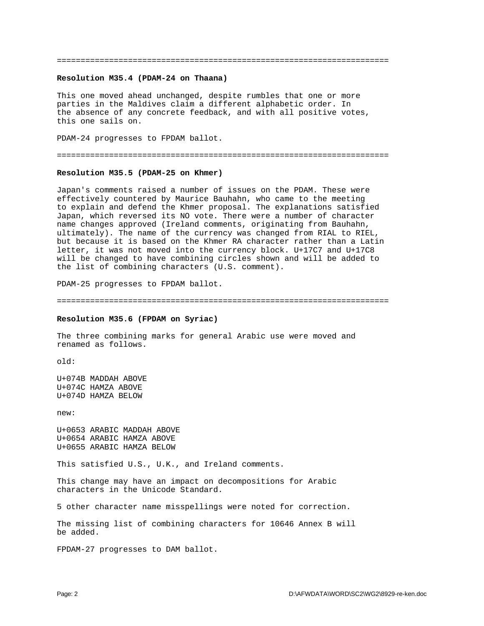======================================================================

### **Resolution M35.4 (PDAM-24 on Thaana)**

This one moved ahead unchanged, despite rumbles that one or more parties in the Maldives claim a different alphabetic order. In the absence of any concrete feedback, and with all positive votes, this one sails on.

PDAM-24 progresses to FPDAM ballot.

======================================================================

### **Resolution M35.5 (PDAM-25 on Khmer)**

Japan's comments raised a number of issues on the PDAM. These were effectively countered by Maurice Bauhahn, who came to the meeting to explain and defend the Khmer proposal. The explanations satisfied Japan, which reversed its NO vote. There were a number of character name changes approved (Ireland comments, originating from Bauhahn, ultimately). The name of the currency was changed from RIAL to RIEL, but because it is based on the Khmer RA character rather than a Latin letter, it was not moved into the currency block. U+17C7 and U+17C8 will be changed to have combining circles shown and will be added to the list of combining characters (U.S. comment).

PDAM-25 progresses to FPDAM ballot.

======================================================================

#### **Resolution M35.6 (FPDAM on Syriac)**

The three combining marks for general Arabic use were moved and renamed as follows.

old:

U+074B MADDAH ABOVE U+074C HAMZA ABOVE U+074D HAMZA BELOW

new:

U+0653 ARABIC MADDAH ABOVE U+0654 ARABIC HAMZA ABOVE U+0655 ARABIC HAMZA BELOW

This satisfied U.S., U.K., and Ireland comments.

This change may have an impact on decompositions for Arabic characters in the Unicode Standard.

5 other character name misspellings were noted for correction.

The missing list of combining characters for 10646 Annex B will be added.

FPDAM-27 progresses to DAM ballot.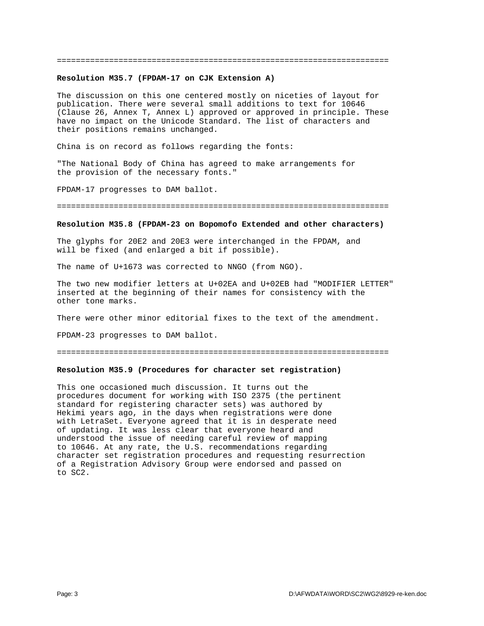#### ======================================================================

#### **Resolution M35.7 (FPDAM-17 on CJK Extension A)**

The discussion on this one centered mostly on niceties of layout for publication. There were several small additions to text for 10646 (Clause 26, Annex T, Annex L) approved or approved in principle. These have no impact on the Unicode Standard. The list of characters and their positions remains unchanged.

China is on record as follows regarding the fonts:

"The National Body of China has agreed to make arrangements for the provision of the necessary fonts."

FPDAM-17 progresses to DAM ballot.

======================================================================

#### **Resolution M35.8 (FPDAM-23 on Bopomofo Extended and other characters)**

The glyphs for 20E2 and 20E3 were interchanged in the FPDAM, and will be fixed (and enlarged a bit if possible).

The name of U+1673 was corrected to NNGO (from NGO).

The two new modifier letters at U+02EA and U+02EB had "MODIFIER LETTER" inserted at the beginning of their names for consistency with the other tone marks.

There were other minor editorial fixes to the text of the amendment.

FPDAM-23 progresses to DAM ballot.

#### ======================================================================

# **Resolution M35.9 (Procedures for character set registration)**

This one occasioned much discussion. It turns out the procedures document for working with ISO 2375 (the pertinent standard for registering character sets) was authored by Hekimi years ago, in the days when registrations were done with LetraSet. Everyone agreed that it is in desperate need of updating. It was less clear that everyone heard and understood the issue of needing careful review of mapping to 10646. At any rate, the U.S. recommendations regarding character set registration procedures and requesting resurrection of a Registration Advisory Group were endorsed and passed on to SC2.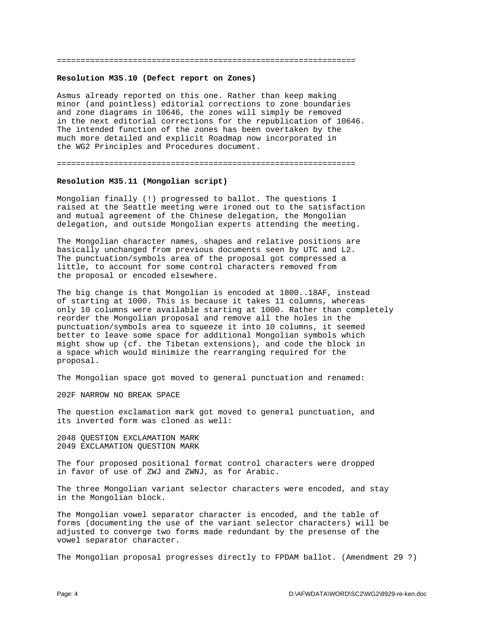#### ===============================================================

# **Resolution M35.10 (Defect report on Zones)**

Asmus already reported on this one. Rather than keep making minor (and pointless) editorial corrections to zone boundaries and zone diagrams in 10646, the zones will simply be removed in the next editorial corrections for the republication of 10646. The intended function of the zones has been overtaken by the much more detailed and explicit Roadmap now incorporated in the WG2 Principles and Procedures document.

===============================================================

### **Resolution M35.11 (Mongolian script)**

Mongolian finally (!) progressed to ballot. The questions I raised at the Seattle meeting were ironed out to the satisfaction and mutual agreement of the Chinese delegation, the Mongolian delegation, and outside Mongolian experts attending the meeting.

The Mongolian character names, shapes and relative positions are basically unchanged from previous documents seen by UTC and L2. The punctuation/symbols area of the proposal got compressed a little, to account for some control characters removed from the proposal or encoded elsewhere.

The big change is that Mongolian is encoded at 1800..18AF, instead of starting at 1000. This is because it takes 11 columns, whereas only 10 columns were available starting at 1000. Rather than completely reorder the Mongolian proposal and remove all the holes in the punctuation/symbols area to squeeze it into 10 columns, it seemed better to leave some space for additional Mongolian symbols which might show up (cf. the Tibetan extensions), and code the block in a space which would minimize the rearranging required for the proposal.

The Mongolian space got moved to general punctuation and renamed:

202F NARROW NO BREAK SPACE

The question exclamation mark got moved to general punctuation, and its inverted form was cloned as well:

2048 QUESTION EXCLAMATION MARK 2049 EXCLAMATION QUESTION MARK

The four proposed positional format control characters were dropped in favor of use of ZWJ and ZWNJ, as for Arabic.

The three Mongolian variant selector characters were encoded, and stay in the Mongolian block.

The Mongolian vowel separator character is encoded, and the table of forms (documenting the use of the variant selector characters) will be adjusted to converge two forms made redundant by the presense of the vowel separator character.

The Mongolian proposal progresses directly to FPDAM ballot. (Amendment 29 ?)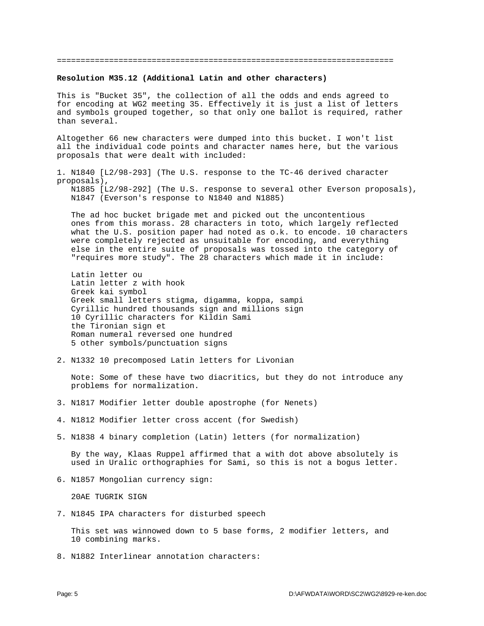#### =======================================================================

#### **Resolution M35.12 (Additional Latin and other characters)**

This is "Bucket 35", the collection of all the odds and ends agreed to for encoding at WG2 meeting 35. Effectively it is just a list of letters and symbols grouped together, so that only one ballot is required, rather than several.

Altogether 66 new characters were dumped into this bucket. I won't list all the individual code points and character names here, but the various proposals that were dealt with included:

1. N1840 [L2/98-293] (The U.S. response to the TC-46 derived character proposals), N1885 [L2/98-292] (The U.S. response to several other Everson proposals),

N1847 (Everson's response to N1840 and N1885)

 The ad hoc bucket brigade met and picked out the uncontentious ones from this morass. 28 characters in toto, which largely reflected what the U.S. position paper had noted as o.k. to encode. 10 characters were completely rejected as unsuitable for encoding, and everything else in the entire suite of proposals was tossed into the category of "requires more study". The 28 characters which made it in include:

 Latin letter ou Latin letter z with hook Greek kai symbol Greek small letters stigma, digamma, koppa, sampi Cyrillic hundred thousands sign and millions sign 10 Cyrillic characters for Kildin Sami the Tironian sign et Roman numeral reversed one hundred 5 other symbols/punctuation signs

2. N1332 10 precomposed Latin letters for Livonian

 Note: Some of these have two diacritics, but they do not introduce any problems for normalization.

- 3. N1817 Modifier letter double apostrophe (for Nenets)
- 4. N1812 Modifier letter cross accent (for Swedish)
- 5. N1838 4 binary completion (Latin) letters (for normalization)

 By the way, Klaas Ruppel affirmed that a with dot above absolutely is used in Uralic orthographies for Sami, so this is not a bogus letter.

6. N1857 Mongolian currency sign:

20AE TUGRIK SIGN

7. N1845 IPA characters for disturbed speech

 This set was winnowed down to 5 base forms, 2 modifier letters, and 10 combining marks.

8. N1882 Interlinear annotation characters: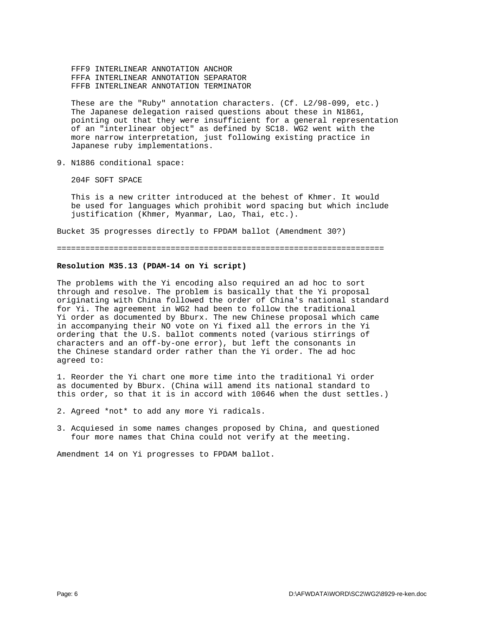FFF9 INTERLINEAR ANNOTATION ANCHOR FFFA INTERLINEAR ANNOTATION SEPARATOR FFFB INTERLINEAR ANNOTATION TERMINATOR

 These are the "Ruby" annotation characters. (Cf. L2/98-099, etc.) The Japanese delegation raised questions about these in N1861, pointing out that they were insufficient for a general representation of an "interlinear object" as defined by SC18. WG2 went with the more narrow interpretation, just following existing practice in Japanese ruby implementations.

9. N1886 conditional space:

204F SOFT SPACE

 This is a new critter introduced at the behest of Khmer. It would be used for languages which prohibit word spacing but which include justification (Khmer, Myanmar, Lao, Thai, etc.).

Bucket 35 progresses directly to FPDAM ballot (Amendment 30?)

=====================================================================

# **Resolution M35.13 (PDAM-14 on Yi script)**

The problems with the Yi encoding also required an ad hoc to sort through and resolve. The problem is basically that the Yi proposal originating with China followed the order of China's national standard for Yi. The agreement in WG2 had been to follow the traditional Yi order as documented by Bburx. The new Chinese proposal which came in accompanying their NO vote on Yi fixed all the errors in the Yi ordering that the U.S. ballot comments noted (various stirrings of characters and an off-by-one error), but left the consonants in the Chinese standard order rather than the Yi order. The ad hoc agreed to:

1. Reorder the Yi chart one more time into the traditional Yi order as documented by Bburx. (China will amend its national standard to this order, so that it is in accord with 10646 when the dust settles.)

- 2. Agreed \*not\* to add any more Yi radicals.
- 3. Acquiesed in some names changes proposed by China, and questioned four more names that China could not verify at the meeting.

Amendment 14 on Yi progresses to FPDAM ballot.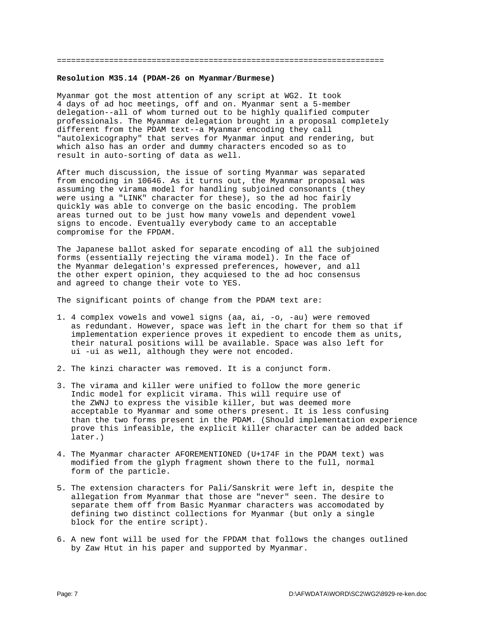#### =====================================================================

#### **Resolution M35.14 (PDAM-26 on Myanmar/Burmese)**

Myanmar got the most attention of any script at WG2. It took 4 days of ad hoc meetings, off and on. Myanmar sent a 5-member delegation--all of whom turned out to be highly qualified computer professionals. The Myanmar delegation brought in a proposal completely different from the PDAM text--a Myanmar encoding they call "autolexicography" that serves for Myanmar input and rendering, but which also has an order and dummy characters encoded so as to result in auto-sorting of data as well.

After much discussion, the issue of sorting Myanmar was separated from encoding in 10646. As it turns out, the Myanmar proposal was assuming the virama model for handling subjoined consonants (they were using a "LINK" character for these), so the ad hoc fairly quickly was able to converge on the basic encoding. The problem areas turned out to be just how many vowels and dependent vowel signs to encode. Eventually everybody came to an acceptable compromise for the FPDAM.

The Japanese ballot asked for separate encoding of all the subjoined forms (essentially rejecting the virama model). In the face of the Myanmar delegation's expressed preferences, however, and all the other expert opinion, they acquiesed to the ad hoc consensus and agreed to change their vote to YES.

The significant points of change from the PDAM text are:

- 1. 4 complex vowels and vowel signs (aa, ai, -o, -au) were removed as redundant. However, space was left in the chart for them so that if implementation experience proves it expedient to encode them as units, their natural positions will be available. Space was also left for ui -ui as well, although they were not encoded.
- 2. The kinzi character was removed. It is a conjunct form.
- 3. The virama and killer were unified to follow the more generic Indic model for explicit virama. This will require use of the ZWNJ to express the visible killer, but was deemed more acceptable to Myanmar and some others present. It is less confusing than the two forms present in the PDAM. (Should implementation experience prove this infeasible, the explicit killer character can be added back later.)
- 4. The Myanmar character AFOREMENTIONED (U+174F in the PDAM text) was modified from the glyph fragment shown there to the full, normal form of the particle.
- 5. The extension characters for Pali/Sanskrit were left in, despite the allegation from Myanmar that those are "never" seen. The desire to separate them off from Basic Myanmar characters was accomodated by defining two distinct collections for Myanmar (but only a single block for the entire script).
- 6. A new font will be used for the FPDAM that follows the changes outlined by Zaw Htut in his paper and supported by Myanmar.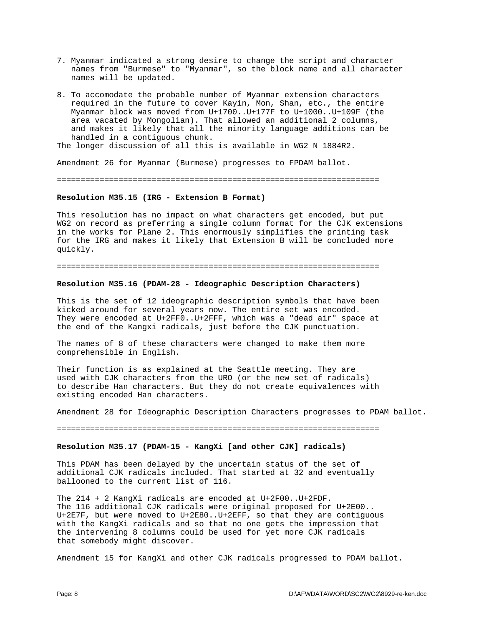- 7. Myanmar indicated a strong desire to change the script and character names from "Burmese" to "Myanmar", so the block name and all character names will be updated.
- 8. To accomodate the probable number of Myanmar extension characters required in the future to cover Kayin, Mon, Shan, etc., the entire Myanmar block was moved from U+1700..U+177F to U+1000..U+109F (the area vacated by Mongolian). That allowed an additional 2 columns, and makes it likely that all the minority language additions can be handled in a contiguous chunk.

The longer discussion of all this is available in WG2 N 1884R2.

Amendment 26 for Myanmar (Burmese) progresses to FPDAM ballot.

====================================================================

### **Resolution M35.15 (IRG - Extension B Format)**

This resolution has no impact on what characters get encoded, but put WG2 on record as preferring a single column format for the CJK extensions in the works for Plane 2. This enormously simplifies the printing task for the IRG and makes it likely that Extension B will be concluded more quickly.

#### ====================================================================

#### **Resolution M35.16 (PDAM-28 - Ideographic Description Characters)**

This is the set of 12 ideographic description symbols that have been kicked around for several years now. The entire set was encoded. They were encoded at U+2FF0..U+2FFF, which was a "dead air" space at the end of the Kangxi radicals, just before the CJK punctuation.

The names of 8 of these characters were changed to make them more comprehensible in English.

Their function is as explained at the Seattle meeting. They are used with CJK characters from the URO (or the new set of radicals) to describe Han characters. But they do not create equivalences with existing encoded Han characters.

Amendment 28 for Ideographic Description Characters progresses to PDAM ballot.

====================================================================

# **Resolution M35.17 (PDAM-15 - KangXi [and other CJK] radicals)**

This PDAM has been delayed by the uncertain status of the set of additional CJK radicals included. That started at 32 and eventually ballooned to the current list of 116.

The 214 + 2 KangXi radicals are encoded at U+2F00..U+2FDF. The 116 additional CJK radicals were original proposed for U+2E00.. U+2E7F, but were moved to U+2E80..U+2EFF, so that they are contiguous with the KangXi radicals and so that no one gets the impression that the intervening 8 columns could be used for yet more CJK radicals that somebody might discover.

Amendment 15 for KangXi and other CJK radicals progressed to PDAM ballot.